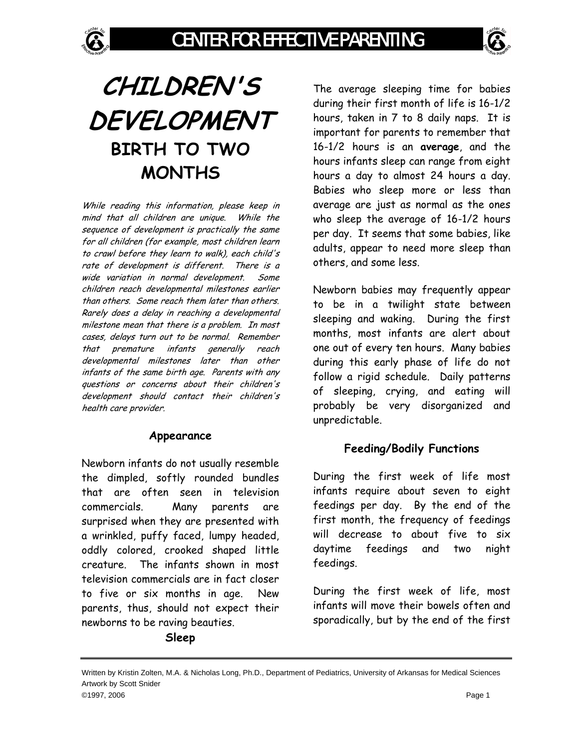# **CHILDREN'S DEVELOPMENT BIRTH TO TWO MONTHS**

While reading this information, please keep in mind that all children are unique. While the sequence of development is practically the same for all children (for example, most children learn to crawl before they learn to walk), each child's rate of development is different. There is a wide variation in normal development. Some children reach developmental milestones earlier than others. Some reach them later than others. Rarely does a delay in reaching a developmental milestone mean that there is a problem. In most cases, delays turn out to be normal. Remember that premature infants generally reach developmental milestones later than other infants of the same birth age. Parents with any questions or concerns about their children's development should contact their children's health care provider.

#### **Appearance**

Newborn infants do not usually resemble the dimpled, softly rounded bundles that are often seen in television commercials. Many parents are surprised when they are presented with a wrinkled, puffy faced, lumpy headed, oddly colored, crooked shaped little creature. The infants shown in most television commercials are in fact closer to five or six months in age. New parents, thus, should not expect their newborns to be raving beauties.

#### **Sleep**

The average sleeping time for babies during their first month of life is 16-1/2 hours, taken in 7 to 8 daily naps. It is important for parents to remember that 16-1/2 hours is an **average**, and the hours infants sleep can range from eight hours a day to almost 24 hours a day. Babies who sleep more or less than average are just as normal as the ones who sleep the average of 16-1/2 hours per day. It seems that some babies, like adults, appear to need more sleep than others, and some less.

Newborn babies may frequently appear to be in a twilight state between sleeping and waking. During the first months, most infants are alert about one out of every ten hours. Many babies during this early phase of life do not follow a rigid schedule. Daily patterns of sleeping, crying, and eating will probably be very disorganized and unpredictable.

## **Feeding/Bodily Functions**

During the first week of life most infants require about seven to eight feedings per day. By the end of the first month, the frequency of feedings will decrease to about five to six daytime feedings and two night feedings.

During the first week of life, most infants will move their bowels often and sporadically, but by the end of the first

Written by Kristin Zolten, M.A. & Nicholas Long, Ph.D., Department of Pediatrics, University of Arkansas for Medical Sciences Artwork by Scott Snider ©1997, 2006 Page 1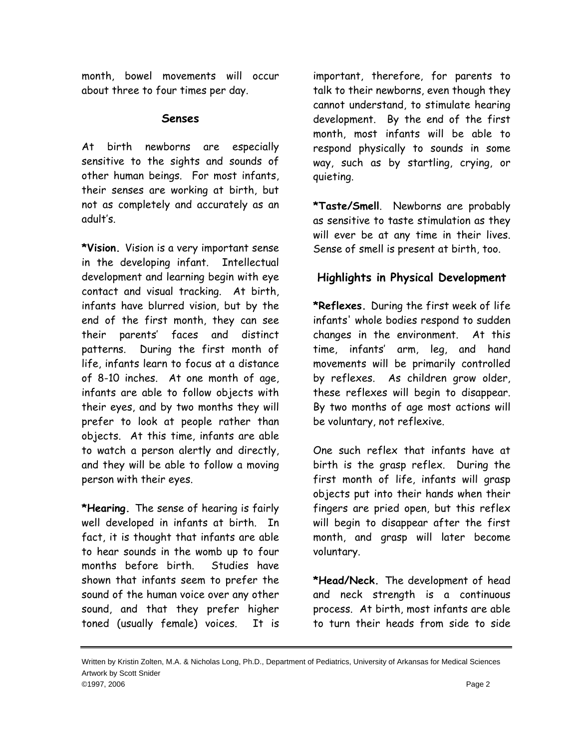month, bowel movements will occur about three to four times per day.

### **Senses**

At birth newborns are especially sensitive to the sights and sounds of other human beings. For most infants, their senses are working at birth, but not as completely and accurately as an adult's.

**\*Vision.** Vision is a very important sense in the developing infant. Intellectual development and learning begin with eye contact and visual tracking. At birth, infants have blurred vision, but by the end of the first month, they can see their parents' faces and distinct patterns. During the first month of life, infants learn to focus at a distance of 8-10 inches. At one month of age, infants are able to follow objects with their eyes, and by two months they will prefer to look at people rather than objects. At this time, infants are able to watch a person alertly and directly, and they will be able to follow a moving person with their eyes.

**\*Hearing.** The sense of hearing is fairly well developed in infants at birth. In fact, it is thought that infants are able to hear sounds in the womb up to four months before birth. Studies have shown that infants seem to prefer the sound of the human voice over any other sound, and that they prefer higher toned (usually female) voices. It is

important, therefore, for parents to talk to their newborns, even though they cannot understand, to stimulate hearing development. By the end of the first month, most infants will be able to respond physically to sounds in some way, such as by startling, crying, or quieting.

**\*Taste/Smell**. Newborns are probably as sensitive to taste stimulation as they will ever be at any time in their lives. Sense of smell is present at birth, too.

# **Highlights in Physical Development**

**\*Reflexes.** During the first week of life infants' whole bodies respond to sudden changes in the environment. At this time, infants' arm, leg, and hand movements will be primarily controlled by reflexes. As children grow older, these reflexes will begin to disappear. By two months of age most actions will be voluntary, not reflexive.

One such reflex that infants have at birth is the grasp reflex. During the first month of life, infants will grasp objects put into their hands when their fingers are pried open, but this reflex will begin to disappear after the first month, and grasp will later become voluntary.

**\*Head/Neck.** The development of head and neck strength is a continuous process. At birth, most infants are able to turn their heads from side to side

Written by Kristin Zolten, M.A. & Nicholas Long, Ph.D., Department of Pediatrics, University of Arkansas for Medical Sciences Artwork by Scott Snider ©1997, 2006 Page 2